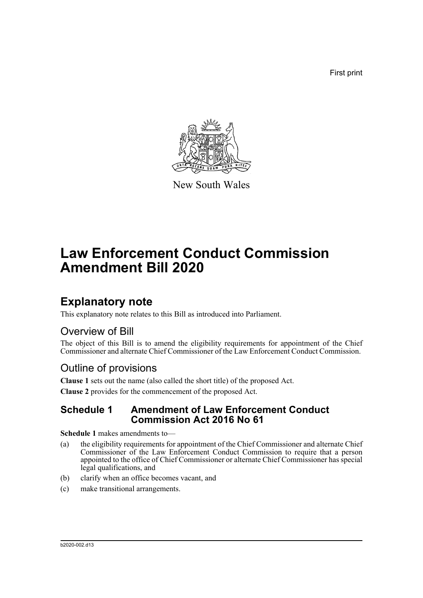First print



New South Wales

# **Law Enforcement Conduct Commission Amendment Bill 2020**

## **Explanatory note**

This explanatory note relates to this Bill as introduced into Parliament.

### Overview of Bill

The object of this Bill is to amend the eligibility requirements for appointment of the Chief Commissioner and alternate Chief Commissioner of the Law Enforcement Conduct Commission.

### Outline of provisions

**Clause 1** sets out the name (also called the short title) of the proposed Act.

**Clause 2** provides for the commencement of the proposed Act.

#### **Schedule 1 Amendment of Law Enforcement Conduct Commission Act 2016 No 61**

**Schedule 1** makes amendments to—

- (a) the eligibility requirements for appointment of the Chief Commissioner and alternate Chief Commissioner of the Law Enforcement Conduct Commission to require that a person appointed to the office of Chief Commissioner or alternate Chief Commissioner has special legal qualifications, and
- (b) clarify when an office becomes vacant, and
- (c) make transitional arrangements.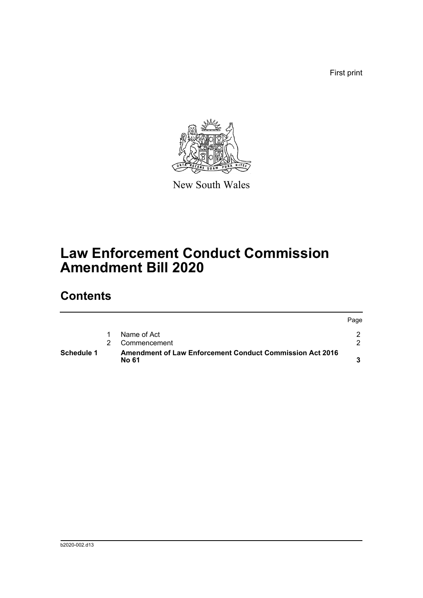First print



New South Wales

## **Law Enforcement Conduct Commission Amendment Bill 2020**

## **Contents**

| Schedule 1 |   | <b>Amendment of Law Enforcement Conduct Commission Act 2016</b><br><b>No 61</b> |      |
|------------|---|---------------------------------------------------------------------------------|------|
|            | 2 | Commencement                                                                    |      |
|            |   | Name of Act                                                                     |      |
|            |   |                                                                                 | Page |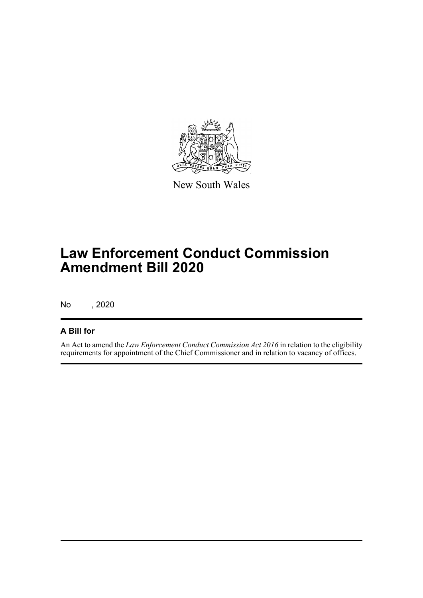

New South Wales

# **Law Enforcement Conduct Commission Amendment Bill 2020**

No , 2020

#### **A Bill for**

An Act to amend the *Law Enforcement Conduct Commission Act 2016* in relation to the eligibility requirements for appointment of the Chief Commissioner and in relation to vacancy of offices.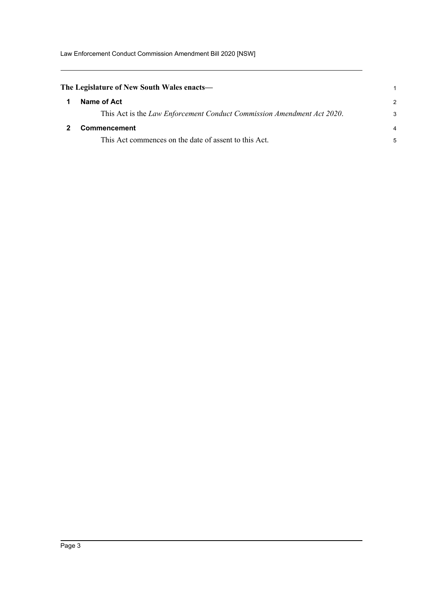Law Enforcement Conduct Commission Amendment Bill 2020 [NSW]

<span id="page-3-1"></span><span id="page-3-0"></span>

| The Legislature of New South Wales enacts—                             |   |  |  |  |
|------------------------------------------------------------------------|---|--|--|--|
| Name of Act                                                            | 2 |  |  |  |
| This Act is the Law Enforcement Conduct Commission Amendment Act 2020. | 3 |  |  |  |
| Commencement                                                           |   |  |  |  |
| This Act commences on the date of assent to this Act.                  |   |  |  |  |